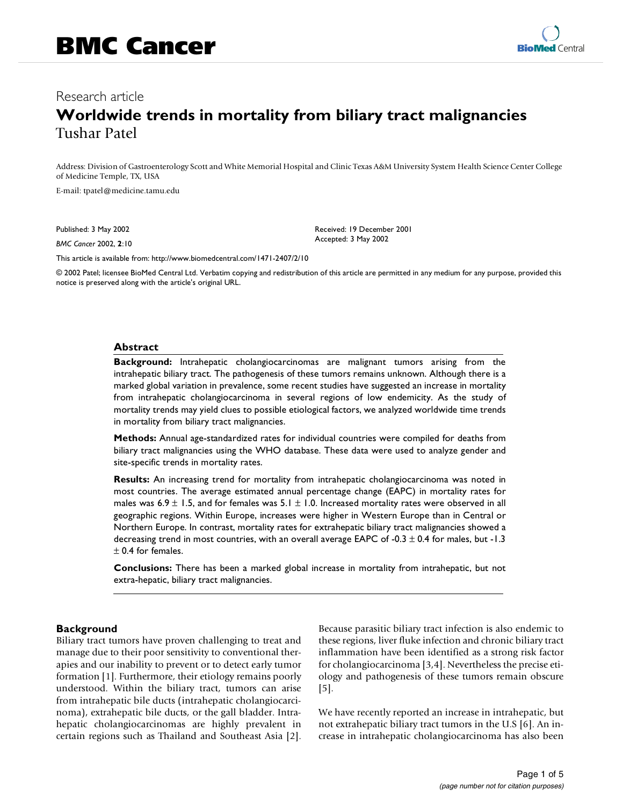# Research article **Worldwide trends in mortality from biliary tract malignancies** Tushar Patel

Address: Division of Gastroenterology Scott and White Memorial Hospital and Clinic Texas A&M University System Health Science Center College of Medicine Temple, TX, USA

E-mail: tpatel@medicine.tamu.edu

Published: 3 May 2002

*BMC Cancer* 2002, **2**:10

Received: 19 December 2001 Accepted: 3 May 2002

[This article is available from: http://www.biomedcentral.com/1471-2407/2/10](http://www.biomedcentral.com/1471-2407/2/10)

© 2002 Patel; licensee BioMed Central Ltd. Verbatim copying and redistribution of this article are permitted in any medium for any purpose, provided this notice is preserved along with the article's original URL.

#### **Abstract**

**Background:** Intrahepatic cholangiocarcinomas are malignant tumors arising from the intrahepatic biliary tract. The pathogenesis of these tumors remains unknown. Although there is a marked global variation in prevalence, some recent studies have suggested an increase in mortality from intrahepatic cholangiocarcinoma in several regions of low endemicity. As the study of mortality trends may yield clues to possible etiological factors, we analyzed worldwide time trends in mortality from biliary tract malignancies.

**Methods:** Annual age-standardized rates for individual countries were compiled for deaths from biliary tract malignancies using the WHO database. These data were used to analyze gender and site-specific trends in mortality rates.

**Results:** An increasing trend for mortality from intrahepatic cholangiocarcinoma was noted in most countries. The average estimated annual percentage change (EAPC) in mortality rates for males was 6.9  $\pm$  1.5, and for females was 5.1  $\pm$  1.0. Increased mortality rates were observed in all geographic regions. Within Europe, increases were higher in Western Europe than in Central or Northern Europe. In contrast, mortality rates for extrahepatic biliary tract malignancies showed a decreasing trend in most countries, with an overall average EAPC of -0.3  $\pm$  0.4 for males, but -1.3  $\pm$  0.4 for females.

**Conclusions:** There has been a marked global increase in mortality from intrahepatic, but not extra-hepatic, biliary tract malignancies.

#### **Background**

Biliary tract tumors have proven challenging to treat and manage due to their poor sensitivity to conventional therapies and our inability to prevent or to detect early tumor formation [1]. Furthermore, their etiology remains poorly understood. Within the biliary tract, tumors can arise from intrahepatic bile ducts (intrahepatic cholangiocarcinoma), extrahepatic bile ducts, or the gall bladder. Intrahepatic cholangiocarcinomas are highly prevalent in certain regions such as Thailand and Southeast Asia [2].

Because parasitic biliary tract infection is also endemic to these regions, liver fluke infection and chronic biliary tract inflammation have been identified as a strong risk factor for cholangiocarcinoma [3,4]. Nevertheless the precise etiology and pathogenesis of these tumors remain obscure [5].

We have recently reported an increase in intrahepatic, but not extrahepatic biliary tract tumors in the U.S [6]. An increase in intrahepatic cholangiocarcinoma has also been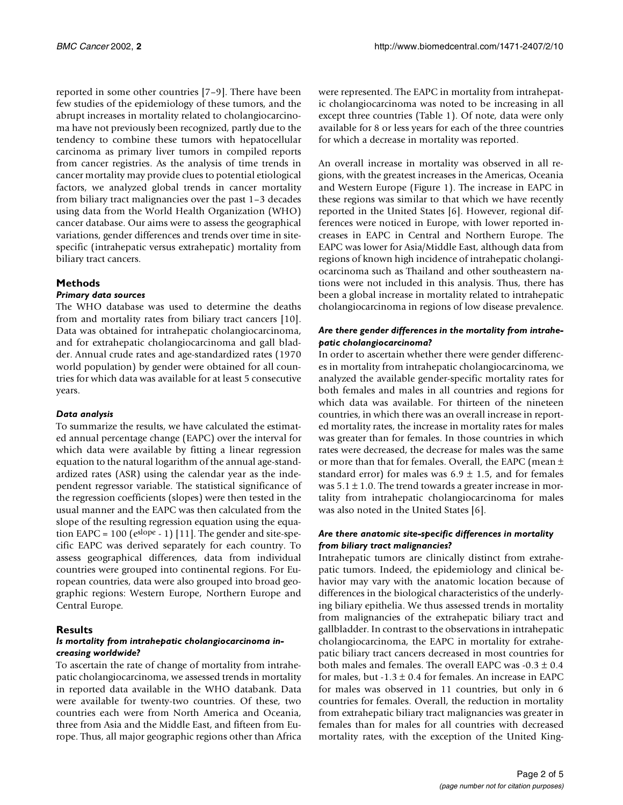reported in some other countries [7–9]. There have been few studies of the epidemiology of these tumors, and the abrupt increases in mortality related to cholangiocarcinoma have not previously been recognized, partly due to the tendency to combine these tumors with hepatocellular carcinoma as primary liver tumors in compiled reports from cancer registries. As the analysis of time trends in cancer mortality may provide clues to potential etiological factors, we analyzed global trends in cancer mortality from biliary tract malignancies over the past 1–3 decades using data from the World Health Organization (WHO) cancer database. Our aims were to assess the geographical variations, gender differences and trends over time in sitespecific (intrahepatic versus extrahepatic) mortality from biliary tract cancers.

# **Methods**

# *Primary data sources*

The WHO database was used to determine the deaths from and mortality rates from biliary tract cancers [10]. Data was obtained for intrahepatic cholangiocarcinoma, and for extrahepatic cholangiocarcinoma and gall bladder. Annual crude rates and age-standardized rates (1970 world population) by gender were obtained for all countries for which data was available for at least 5 consecutive years.

# *Data analysis*

To summarize the results, we have calculated the estimated annual percentage change (EAPC) over the interval for which data were available by fitting a linear regression equation to the natural logarithm of the annual age-standardized rates (ASR) using the calendar year as the independent regressor variable. The statistical significance of the regression coefficients (slopes) were then tested in the usual manner and the EAPC was then calculated from the slope of the resulting regression equation using the equation EAPC = 100 ( $e^{slope}$  - 1) [11]. The gender and site-specific EAPC was derived separately for each country. To assess geographical differences, data from individual countries were grouped into continental regions. For European countries, data were also grouped into broad geographic regions: Western Europe, Northern Europe and Central Europe.

# **Results**

#### *Is mortality from intrahepatic cholangiocarcinoma increasing worldwide?*

To ascertain the rate of change of mortality from intrahepatic cholangiocarcinoma, we assessed trends in mortality in reported data available in the WHO databank. Data were available for twenty-two countries. Of these, two countries each were from North America and Oceania, three from Asia and the Middle East, and fifteen from Europe. Thus, all major geographic regions other than Africa were represented. The EAPC in mortality from intrahepatic cholangiocarcinoma was noted to be increasing in all except three countries (Table [1\)](#page-1-0). Of note, data were only available for 8 or less years for each of the three countries for which a decrease in mortality was reported.

An overall increase in mortality was observed in all regions, with the greatest increases in the Americas, Oceania and Western Europe (Figure 1). The increase in EAPC in these regions was similar to that which we have recently reported in the United States [6]. However, regional differences were noticed in Europe, with lower reported increases in EAPC in Central and Northern Europe. The EAPC was lower for Asia/Middle East, although data from regions of known high incidence of intrahepatic cholangiocarcinoma such as Thailand and other southeastern nations were not included in this analysis. Thus, there has been a global increase in mortality related to intrahepatic cholangiocarcinoma in regions of low disease prevalence.

### *Are there gender differences in the mortality from intrahepatic cholangiocarcinoma?*

<span id="page-1-0"></span>In order to ascertain whether there were gender differences in mortality from intrahepatic cholangiocarcinoma, we analyzed the available gender-specific mortality rates for both females and males in all countries and regions for which data was available. For thirteen of the nineteen countries, in which there was an overall increase in reported mortality rates, the increase in mortality rates for males was greater than for females. In those countries in which rates were decreased, the decrease for males was the same or more than that for females. Overall, the EAPC (mean ± standard error) for males was  $6.9 \pm 1.5$ , and for females was  $5.1 \pm 1.0$ . The trend towards a greater increase in mortality from intrahepatic cholangiocarcinoma for males was also noted in the United States [6].

#### *Are there anatomic site-specific differences in mortality from biliary tract malignancies?*

Intrahepatic tumors are clinically distinct from extrahepatic tumors. Indeed, the epidemiology and clinical behavior may vary with the anatomic location because of differences in the biological characteristics of the underlying biliary epithelia. We thus assessed trends in mortality from malignancies of the extrahepatic biliary tract and gallbladder. In contrast to the observations in intrahepatic cholangiocarcinoma, the EAPC in mortality for extrahepatic biliary tract cancers decreased in most countries for both males and females. The overall EAPC was  $-0.3 \pm 0.4$ for males, but  $-1.3 \pm 0.4$  for females. An increase in EAPC for males was observed in 11 countries, but only in 6 countries for females. Overall, the reduction in mortality from extrahepatic biliary tract malignancies was greater in females than for males for all countries with decreased mortality rates, with the exception of the United King-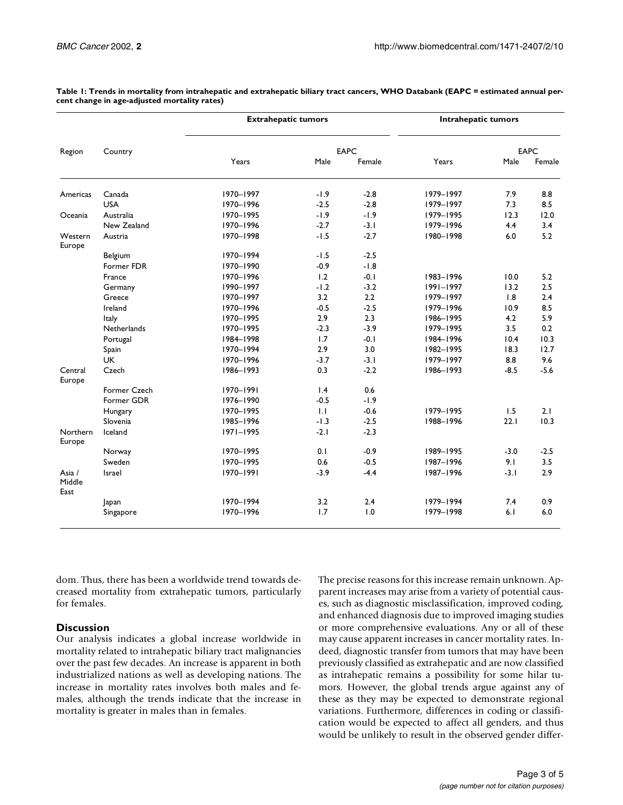| Region                   | Country            | <b>Extrahepatic tumors</b> |             |        | Intrahepatic tumors |             |        |
|--------------------------|--------------------|----------------------------|-------------|--------|---------------------|-------------|--------|
|                          |                    |                            | <b>EAPC</b> |        |                     | <b>EAPC</b> |        |
|                          |                    | Years                      | Male        | Female | Years               | Male        | Female |
| Americas                 | Canada             | 1970-1997                  | $-1.9$      | $-2.8$ | 1979-1997           | 7.9         | 8.8    |
|                          | <b>USA</b>         | 1970-1996                  | $-2.5$      | $-2.8$ | 1979-1997           | 7.3         | 8.5    |
| Oceania                  | Australia          | 1970-1995                  | $-1.9$      | $-1.9$ | 1979-1995           | 12.3        | 12.0   |
|                          | New Zealand        | 1970-1996                  | $-2.7$      | $-3.1$ | 1979-1996           | 4.4         | 3.4    |
| Western<br>Europe        | Austria            | 1970-1998                  | $-1.5$      | $-2.7$ | 1980-1998           | 6.0         | 5.2    |
|                          | Belgium            | 1970-1994                  | $-1.5$      | $-2.5$ |                     |             |        |
|                          | Former FDR         | 1970-1990                  | $-0.9$      | $-1.8$ |                     |             |        |
|                          | France             | 1970-1996                  | 1.2         | $-0.1$ | 1983-1996           | 10.0        | 5.2    |
|                          | Germany            | 1990-1997                  | $-1.2$      | $-3.2$ | $1991 - 1997$       | 13.2        | 2.5    |
|                          | Greece             | 1970-1997                  | 3.2         | 2.2    | 1979-1997           | 1.8         | 2.4    |
|                          | Ireland            | 1970-1996                  | $-0.5$      | $-2.5$ | 1979-1996           | 10.9        | 8.5    |
|                          | Italy              | 1970-1995                  | 2.9         | 2.3    | 1986-1995           | 4.2         | 5.9    |
|                          | <b>Netherlands</b> | 1970-1995                  | $-2.3$      | $-3.9$ | 1979-1995           | 3.5         | 0.2    |
|                          | Portugal           | 1984-1998                  | 1.7         | $-0.1$ | 1984-1996           | 10.4        | 10.3   |
|                          | Spain              | 1970-1994                  | 2.9         | 3.0    | 1982-1995           | 18.3        | 12.7   |
|                          | <b>UK</b>          | 1970-1996                  | $-3.7$      | $-3.1$ | 1979-1997           | 8.8         | 9.6    |
| Central<br>Europe        | Czech              | 1986-1993                  | 0.3         | $-2.2$ | 1986-1993           | $-8.5$      | $-5.6$ |
|                          | Former Czech       | 1970-1991                  | 1.4         | 0.6    |                     |             |        |
|                          | Former GDR         | 1976-1990                  | $-0.5$      | $-1.9$ |                     |             |        |
|                          | Hungary            | 1970-1995                  | 1.1         | $-0.6$ | 1979-1995           | 1.5         | 2.1    |
|                          | Slovenia           | 1985-1996                  | $-1.3$      | $-2.5$ | 1988-1996           | 22.1        | 10.3   |
| Northern<br>Europe       | Iceland            | $1971 - 1995$              | $-2.1$      | $-2.3$ |                     |             |        |
|                          | Norway             | 1970-1995                  | 0.1         | $-0.9$ | 1989-1995           | $-3.0$      | $-2.5$ |
|                          | Sweden             | 1970-1995                  | 0.6         | $-0.5$ | 1987-1996           | 9.1         | 3.5    |
| Asia /<br>Middle<br>East | <b>Israel</b>      | 1970-1991                  | $-3.9$      | $-4.4$ | 1987-1996           | $-3.1$      | 2.9    |
|                          | Japan              | 1970-1994                  | 3.2         | 2.4    | 1979-1994           | 7.4         | 0.9    |
|                          | Singapore          | 1970-1996                  | 1.7         | 1.0    | 1979-1998           | 6.1         | 6.0    |

**Table 1: Trends in mortality from intrahepatic and extrahepatic biliary tract cancers, WHO Databank (EAPC = estimated annual percent change in age-adjusted mortality rates)**

dom. Thus, there has been a worldwide trend towards decreased mortality from extrahepatic tumors, particularly for females.

# **Discussion**

Our analysis indicates a global increase worldwide in mortality related to intrahepatic biliary tract malignancies over the past few decades. An increase is apparent in both industrialized nations as well as developing nations. The increase in mortality rates involves both males and females, although the trends indicate that the increase in mortality is greater in males than in females.

The precise reasons for this increase remain unknown. Apparent increases may arise from a variety of potential causes, such as diagnostic misclassification, improved coding, and enhanced diagnosis due to improved imaging studies or more comprehensive evaluations. Any or all of these may cause apparent increases in cancer mortality rates. Indeed, diagnostic transfer from tumors that may have been previously classified as extrahepatic and are now classified as intrahepatic remains a possibility for some hilar tumors. However, the global trends argue against any of these as they may be expected to demonstrate regional variations. Furthermore, differences in coding or classification would be expected to affect all genders, and thus would be unlikely to result in the observed gender differ-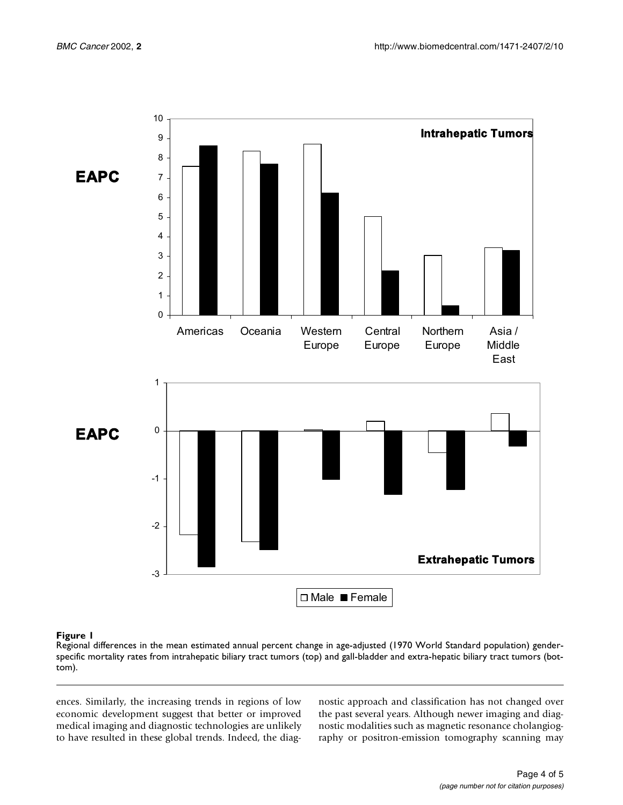

#### **Figure 1**

Regional differences in the mean estimated annual percent change in age-adjusted (1970 World Standard population) genderspecific mortality rates from intrahepatic biliary tract tumors (top) and gall-bladder and extra-hepatic biliary tract tumors (bottom).

ences. Similarly, the increasing trends in regions of low economic development suggest that better or improved medical imaging and diagnostic technologies are unlikely to have resulted in these global trends. Indeed, the diagnostic approach and classification has not changed over the past several years. Although newer imaging and diagnostic modalities such as magnetic resonance cholangiography or positron-emission tomography scanning may